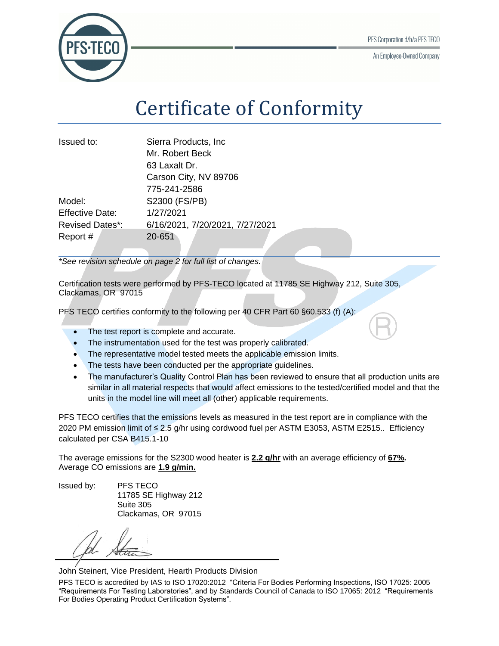An Employee-Owned Company



## Certificate of Conformity

| Issued to:             | Sierra Products, Inc.           |
|------------------------|---------------------------------|
|                        | Mr. Robert Beck                 |
|                        | 63 Laxalt Dr.                   |
|                        | Carson City, NV 89706           |
|                        | 775-241-2586                    |
| Model:                 | S2300 (FS/PB)                   |
| <b>Effective Date:</b> | 1/27/2021                       |
| <b>Revised Dates*:</b> | 6/16/2021, 7/20/2021, 7/27/2021 |
| Report #               | 20-651                          |

*\*See revision schedule on page 2 for full list of changes.*

Certification tests were performed by PFS-TECO located at 11785 SE Highway 212, Suite 305, Clackamas, OR 97015

PFS TECO certifies conformity to the following per 40 CFR Part 60 §60.533 (f) (A):

- The test report is complete and accurate.
- The instrumentation used for the test was properly calibrated.
- The representative model tested meets the applicable emission limits.
- The tests have been conducted per the appropriate guidelines.
- The manufacturer's Quality Control Plan has been reviewed to ensure that all production units are similar in all material respects that would affect emissions to the tested/certified model and that the units in the model line will meet all (other) applicable requirements.

PFS TECO certifies that the emissions levels as measured in the test report are in compliance with the 2020 PM emission limit of ≤ 2.5 g/hr using cordwood fuel per ASTM E3053, ASTM E2515.. Efficiency calculated per CSA B415.1-10

The average emissions for the S2300 wood heater is **2.2 g/hr** with an average efficiency of **67%.** Average CO emissions are **1.9 g/min.**

Issued by: PFS TECO

11785 SE Highway 212 Suite 305 Clackamas, OR 97015

John Steinert, Vice President, Hearth Products Division

PFS TECO is accredited by IAS to ISO 17020:2012 "Criteria For Bodies Performing Inspections, ISO 17025: 2005 "Requirements For Testing Laboratories", and by Standards Council of Canada to ISO 17065: 2012 "Requirements For Bodies Operating Product Certification Systems".